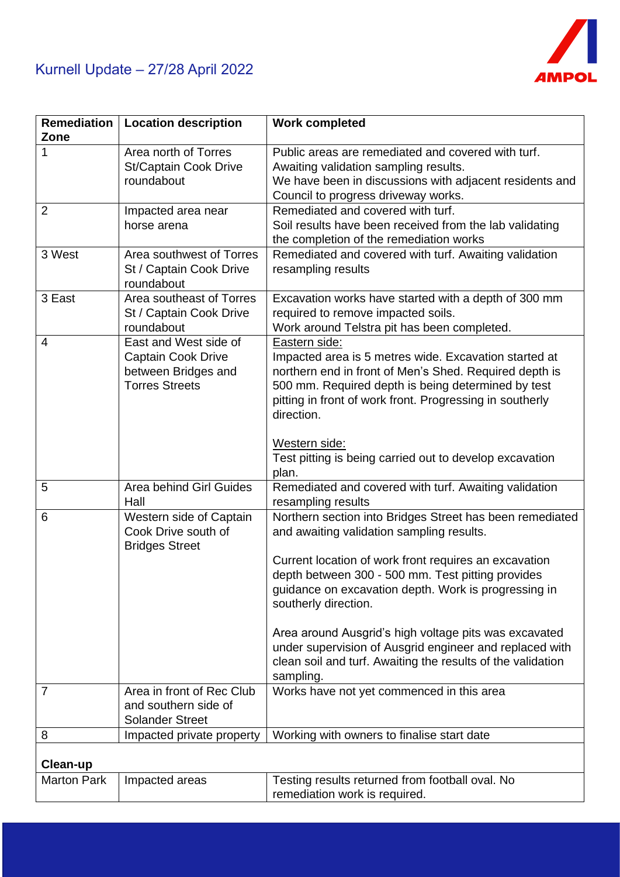

| Remediation        | <b>Location description</b>    | <b>Work completed</b>                                       |
|--------------------|--------------------------------|-------------------------------------------------------------|
|                    |                                |                                                             |
| Zone               |                                |                                                             |
| 1                  | Area north of Torres           | Public areas are remediated and covered with turf.          |
|                    | St/Captain Cook Drive          | Awaiting validation sampling results.                       |
|                    | roundabout                     | We have been in discussions with adjacent residents and     |
|                    |                                | Council to progress driveway works.                         |
| $\overline{2}$     | Impacted area near             | Remediated and covered with turf.                           |
|                    | horse arena                    | Soil results have been received from the lab validating     |
|                    |                                | the completion of the remediation works                     |
| 3 West             | Area southwest of Torres       | Remediated and covered with turf. Awaiting validation       |
|                    | St / Captain Cook Drive        | resampling results                                          |
|                    | roundabout                     |                                                             |
| 3 East             | Area southeast of Torres       | Excavation works have started with a depth of 300 mm        |
|                    | St / Captain Cook Drive        | required to remove impacted soils.                          |
|                    | roundabout                     | Work around Telstra pit has been completed.                 |
| $\overline{4}$     | East and West side of          | Eastern side:                                               |
|                    |                                |                                                             |
|                    | <b>Captain Cook Drive</b>      | Impacted area is 5 metres wide. Excavation started at       |
|                    | between Bridges and            | northern end in front of Men's Shed. Required depth is      |
|                    | <b>Torres Streets</b>          | 500 mm. Required depth is being determined by test          |
|                    |                                | pitting in front of work front. Progressing in southerly    |
|                    |                                | direction.                                                  |
|                    |                                |                                                             |
|                    |                                | Western side:                                               |
|                    |                                | Test pitting is being carried out to develop excavation     |
|                    |                                | plan.                                                       |
| 5                  | <b>Area behind Girl Guides</b> | Remediated and covered with turf. Awaiting validation       |
|                    | Hall                           | resampling results                                          |
| 6                  | Western side of Captain        | Northern section into Bridges Street has been remediated    |
|                    | Cook Drive south of            | and awaiting validation sampling results.                   |
|                    | <b>Bridges Street</b>          |                                                             |
|                    |                                | Current location of work front requires an excavation       |
|                    |                                | depth between 300 - 500 mm. Test pitting provides           |
|                    |                                | guidance on excavation depth. Work is progressing in        |
|                    |                                | southerly direction.                                        |
|                    |                                |                                                             |
|                    |                                |                                                             |
|                    |                                | Area around Ausgrid's high voltage pits was excavated       |
|                    |                                | under supervision of Ausgrid engineer and replaced with     |
|                    |                                | clean soil and turf. Awaiting the results of the validation |
|                    |                                | sampling.                                                   |
| 7                  | Area in front of Rec Club      | Works have not yet commenced in this area                   |
|                    | and southern side of           |                                                             |
|                    | <b>Solander Street</b>         |                                                             |
| 8                  | Impacted private property      | Working with owners to finalise start date                  |
|                    |                                |                                                             |
| Clean-up           |                                |                                                             |
| <b>Marton Park</b> | Impacted areas                 | Testing results returned from football oval. No             |
|                    |                                | remediation work is required.                               |